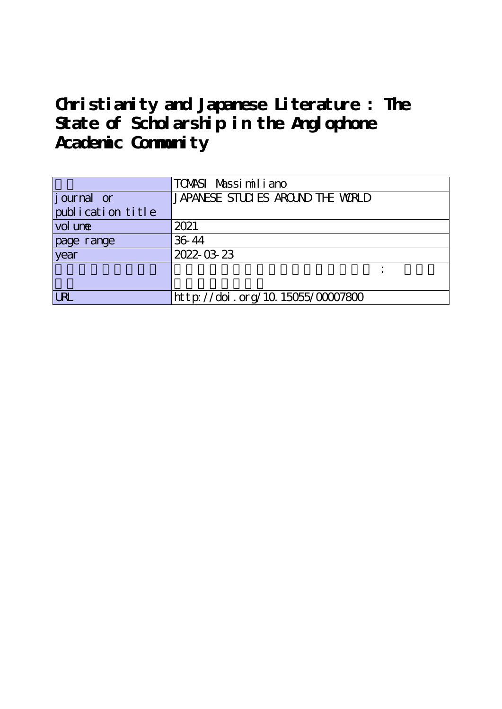## **Christianity and Japanese Literature : The State of Scholarship in the Anglophone Academic Community**

|                   | TOMASI Massimiliano               |
|-------------------|-----------------------------------|
| journal or        | JAPANESE STUDIES AROUND THE WORLD |
| publication title |                                   |
| vol une           | 2021                              |
| page range        | 36-44                             |
| year              | 2022-03-23                        |
|                   |                                   |
|                   |                                   |
| <b>LRL</b>        | http://doi.org/10.15055/00007800  |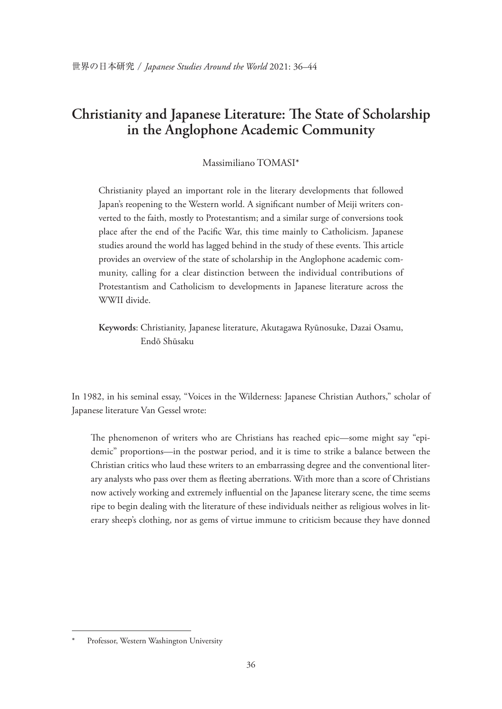## **Christianity and Japanese Literature: The State of Scholarship in the Anglophone Academic Community**

Massimiliano TOMASI\*

Christianity played an important role in the literary developments that followed Japan's reopening to the Western world. A signifcant number of Meiji writers converted to the faith, mostly to Protestantism; and a similar surge of conversions took place after the end of the Pacifc War, this time mainly to Catholicism. Japanese studies around the world has lagged behind in the study of these events. This article provides an overview of the state of scholarship in the Anglophone academic community, calling for a clear distinction between the individual contributions of Protestantism and Catholicism to developments in Japanese literature across the WWII divide.

**Keywords**: Christianity, Japanese literature, Akutagawa Ryūnosuke, Dazai Osamu, Endō Shūsaku

In 1982, in his seminal essay, "Voices in the Wilderness: Japanese Christian Authors," scholar of Japanese literature Van Gessel wrote:

The phenomenon of writers who are Christians has reached epic—some might say "epidemic" proportions—in the postwar period, and it is time to strike a balance between the Christian critics who laud these writers to an embarrassing degree and the conventional literary analysts who pass over them as feeting aberrations. With more than a score of Christians now actively working and extremely infuential on the Japanese literary scene, the time seems ripe to begin dealing with the literature of these individuals neither as religious wolves in literary sheep's clothing, nor as gems of virtue immune to criticism because they have donned

Professor, Western Washington University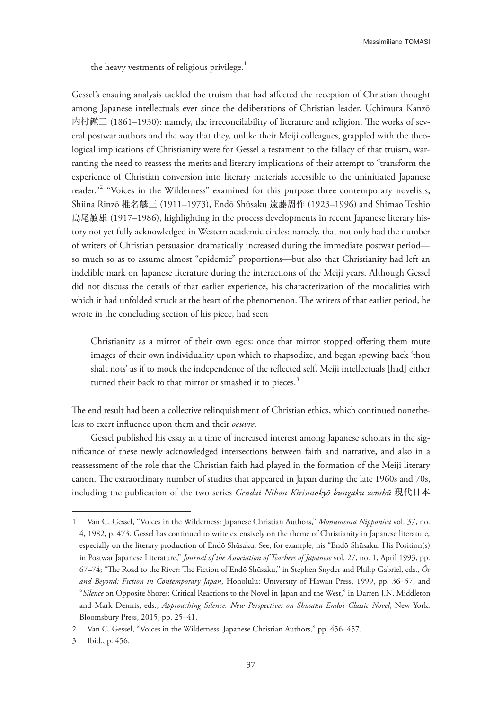the heavy vestments of religious privilege.<sup>1</sup>

Gessel's ensuing analysis tackled the truism that had afected the reception of Christian thought among Japanese intellectuals ever since the deliberations of Christian leader, Uchimura Kanzō 内村鑑三 (1861–1930): namely, the irreconcilability of literature and religion. The works of several postwar authors and the way that they, unlike their Meiji colleagues, grappled with the theological implications of Christianity were for Gessel a testament to the fallacy of that truism, warranting the need to reassess the merits and literary implications of their attempt to "transform the experience of Christian conversion into literary materials accessible to the uninitiated Japanese reader."<sup>2</sup> "Voices in the Wilderness" examined for this purpose three contemporary novelists, Shiina Rinzō 椎名麟三 (1911–1973), Endō Shūsaku 遠藤周作 (1923–1996) and Shimao Toshio 島尾敏雄 (1917–1986), highlighting in the process developments in recent Japanese literary history not yet fully acknowledged in Western academic circles: namely, that not only had the number of writers of Christian persuasion dramatically increased during the immediate postwar period so much so as to assume almost "epidemic" proportions—but also that Christianity had left an indelible mark on Japanese literature during the interactions of the Meiji years. Although Gessel did not discuss the details of that earlier experience, his characterization of the modalities with which it had unfolded struck at the heart of the phenomenon. The writers of that earlier period, he wrote in the concluding section of his piece, had seen

Christianity as a mirror of their own egos: once that mirror stopped ofering them mute images of their own individuality upon which to rhapsodize, and began spewing back 'thou shalt nots' as if to mock the independence of the refected self, Meiji intellectuals [had] either turned their back to that mirror or smashed it to pieces.<sup>3</sup>

The end result had been a collective relinquishment of Christian ethics, which continued nonetheless to exert infuence upon them and their *oeuvre*.

Gessel published his essay at a time of increased interest among Japanese scholars in the signifcance of these newly acknowledged intersections between faith and narrative, and also in a reassessment of the role that the Christian faith had played in the formation of the Meiji literary canon. The extraordinary number of studies that appeared in Japan during the late 1960s and 70s, including the publication of the two series *Gendai Nihon Kirisutokyō bungaku zenshū* 現代日本

<sup>1</sup> Van C. Gessel, "Voices in the Wilderness: Japanese Christian Authors," *Monumenta Nipponica* vol. 37, no. 4, 1982, p. 473. Gessel has continued to write extensively on the theme of Christianity in Japanese literature, especially on the literary production of Endō Shūsaku. See, for example, his "Endō Shūsaku: His Position(s) in Postwar Japanese Literature," *Journal of the Association of Teachers of Japanese* vol. 27, no. 1, April 1993, pp. 67–74; "The Road to the River: The Fiction of Endō Shūsaku," in Stephen Snyder and Philip Gabriel, eds., *Ōe and Beyond: Fiction in Contemporary Japan*, Honolulu: University of Hawaii Press, 1999, pp. 36–57; and "*Silence* on Opposite Shores: Critical Reactions to the Novel in Japan and the West," in Darren J.N. Middleton and Mark Dennis, eds., *Approaching Silence: New Perspectives on Shusaku Endo's Classic Novel*, New York: Bloomsbury Press, 2015, pp. 25–41.

<sup>2</sup> Van C. Gessel, "Voices in the Wilderness: Japanese Christian Authors," pp. 456–457.

<sup>3</sup> Ibid., p. 456.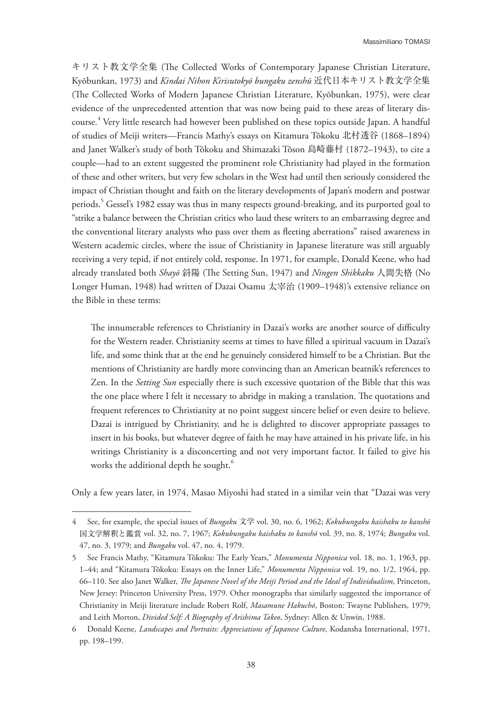キリスト教文学全集 (The Collected Works of Contemporary Japanese Christian Literature, Kyōbunkan, 1973) and *Kindai Nihon Kirisutokyō bungaku zenshū* 近代日本キリスト教文学全集 (The Collected Works of Modern Japanese Christian Literature, Kyōbunkan, 1975), were clear evidence of the unprecedented attention that was now being paid to these areas of literary discourse. 4 Very little research had however been published on these topics outside Japan. A handful of studies of Meiji writers—Francis Mathy's essays on Kitamura Tōkoku 北村透谷 (1868–1894) and Janet Walker's study of both Tōkoku and Shimazaki Tōson 島崎藤村 (1872–1943), to cite a couple—had to an extent suggested the prominent role Christianity had played in the formation of these and other writers, but very few scholars in the West had until then seriously considered the impact of Christian thought and faith on the literary developments of Japan's modern and postwar periods.<sup>5</sup> Gessel's 1982 essay was thus in many respects ground-breaking, and its purported goal to "strike a balance between the Christian critics who laud these writers to an embarrassing degree and the conventional literary analysts who pass over them as feeting aberrations" raised awareness in Western academic circles, where the issue of Christianity in Japanese literature was still arguably receiving a very tepid, if not entirely cold, response. In 1971, for example, Donald Keene, who had already translated both *Shayō* 斜陽 (The Setting Sun, 1947) and *Ningen Shikkaku* 人間失格 (No Longer Human, 1948) had written of Dazai Osamu 太宰治 (1909–1948)'s extensive reliance on the Bible in these terms:

The innumerable references to Christianity in Dazai's works are another source of difficulty for the Western reader. Christianity seems at times to have flled a spiritual vacuum in Dazai's life, and some think that at the end he genuinely considered himself to be a Christian. But the mentions of Christianity are hardly more convincing than an American beatnik's references to Zen. In the *Setting Sun* especially there is such excessive quotation of the Bible that this was the one place where I felt it necessary to abridge in making a translation. The quotations and frequent references to Christianity at no point suggest sincere belief or even desire to believe. Dazai is intrigued by Christianity, and he is delighted to discover appropriate passages to insert in his books, but whatever degree of faith he may have attained in his private life, in his writings Christianity is a disconcerting and not very important factor. It failed to give his works the additional depth he sought.<sup>6</sup>

Only a few years later, in 1974, Masao Miyoshi had stated in a similar vein that "Dazai was very

<sup>4</sup> See, for example, the special issues of *Bungaku* 文学 vol. 30, no. 6, 1962; *Kokubungaku kaishaku to kanshō* 国文学解釈と鑑賞 vol. 32, no. 7, 1967; *Kokubungaku kaishaku to kanshō* vol. 39, no. 8, 1974; *Bungaku* vol. 47, no. 3, 1979; and *Bungaku* vol. 47, no. 4, 1979.

<sup>5</sup> See Francis Mathy, "Kitamura Tōkoku: The Early Years," *Monumenta Nipponica* vol. 18, no. 1, 1963, pp. 1–44; and "Kitamura Tōkoku: Essays on the Inner Life," *Monumenta Nipponica* vol. 19, no. 1/2, 1964, pp. 66–110. See also Janet Walker, *Te Japanese Novel of the Meiji Period and the Ideal of Individualism*, Princeton, New Jersey: Princeton University Press, 1979. Other monographs that similarly suggested the importance of Christianity in Meiji literature include Robert Rolf, *Masamune Hakuchō*, Boston: Twayne Publishers, 1979; and Leith Morton, *Divided Self: A Biography of Arishima Takeo*, Sydney: Allen & Unwin, 1988.

<sup>6</sup> Donald Keene, *Landscapes and Portraits: Appreciations of Japanese Culture*, Kodansha International, 1971, pp. 198–199.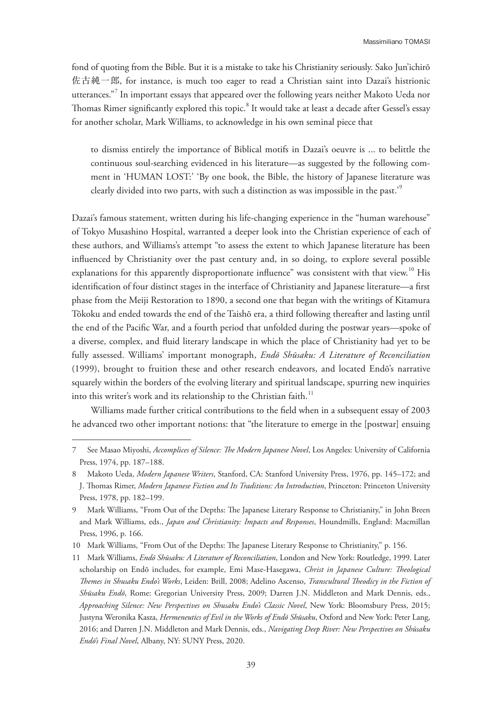fond of quoting from the Bible. But it is a mistake to take his Christianity seriously. Sako Jun'ichirō 佐古純一郎, for instance, is much too eager to read a Christian saint into Dazai's histrionic utterances."<sup>7</sup> In important essays that appeared over the following years neither Makoto Ueda nor Thomas Rimer significantly explored this topic. $^8$  It would take at least a decade after Gessel's essay for another scholar, Mark Williams, to acknowledge in his own seminal piece that

to dismiss entirely the importance of Biblical motifs in Dazai's oeuvre is ... to belittle the continuous soul-searching evidenced in his literature—as suggested by the following comment in 'HUMAN LOST:' 'By one book, the Bible, the history of Japanese literature was clearly divided into two parts, with such a distinction as was impossible in the past.'<sup>9</sup>

Dazai's famous statement, written during his life-changing experience in the "human warehouse" of Tokyo Musashino Hospital, warranted a deeper look into the Christian experience of each of these authors, and Williams's attempt "to assess the extent to which Japanese literature has been infuenced by Christianity over the past century and, in so doing, to explore several possible explanations for this apparently disproportionate influence" was consistent with that view.<sup>10</sup> His identifcation of four distinct stages in the interface of Christianity and Japanese literature—a frst phase from the Meiji Restoration to 1890, a second one that began with the writings of Kitamura Tōkoku and ended towards the end of the Taishō era, a third following thereafter and lasting until the end of the Pacifc War, and a fourth period that unfolded during the postwar years—spoke of a diverse, complex, and fuid literary landscape in which the place of Christianity had yet to be fully assessed. Williams' important monograph, *Endō Shūsaku: A Literature of Reconciliation* (1999), brought to fruition these and other research endeavors, and located Endō's narrative squarely within the borders of the evolving literary and spiritual landscape, spurring new inquiries into this writer's work and its relationship to the Christian faith.<sup>11</sup>

Williams made further critical contributions to the feld when in a subsequent essay of 2003 he advanced two other important notions: that "the literature to emerge in the [postwar] ensuing

<sup>7</sup> See Masao Miyoshi, *Accomplices of Silence: Te Modern Japanese Novel*, Los Angeles: University of California Press, 1974, pp. 187–188.

<sup>8</sup> Makoto Ueda, *Modern Japanese Writers*, Stanford, CA: Stanford University Press, 1976, pp. 145–172; and J. Tomas Rimer, *Modern Japanese Fiction and Its Traditions: An Introduction*, Princeton: Princeton University Press, 1978, pp. 182–199.

<sup>9</sup> Mark Williams, "From Out of the Depths: The Japanese Literary Response to Christianity," in John Breen and Mark Williams, eds., *Japan and Christianity: Impacts and Responses*, Houndmills, England: Macmillan Press, 1996, p. 166.

<sup>10</sup> Mark Williams, "From Out of the Depths: The Japanese Literary Response to Christianity," p. 156.

<sup>11</sup> Mark Williams, *Endō Shūsaku: A Literature of Reconciliation*, London and New York: Routledge, 1999. Later scholarship on Endō includes, for example, Emi Mase-Hasegawa, Christ in Japanese Culture: Theological *Temes in Shusaku Endo's Works*, Leiden: Brill, 2008; Adelino Ascenso, *Transcultural Teodicy in the Fiction of Shūsaku Endō*, Rome: Gregorian University Press, 2009; Darren J.N. Middleton and Mark Dennis, eds., *Approaching Silence: New Perspectives on Shusaku Endo's Classic Novel*, New York: Bloomsbury Press, 2015; Justyna Weronika Kasza, *Hermeneutics of Evil in the Works of Endō Shūsaku*, Oxford and New York: Peter Lang, 2016; and Darren J.N. Middleton and Mark Dennis, eds., *Navigating Deep River: New Perspectives on Shūsaku Endō's Final Novel*, Albany, NY: SUNY Press, 2020.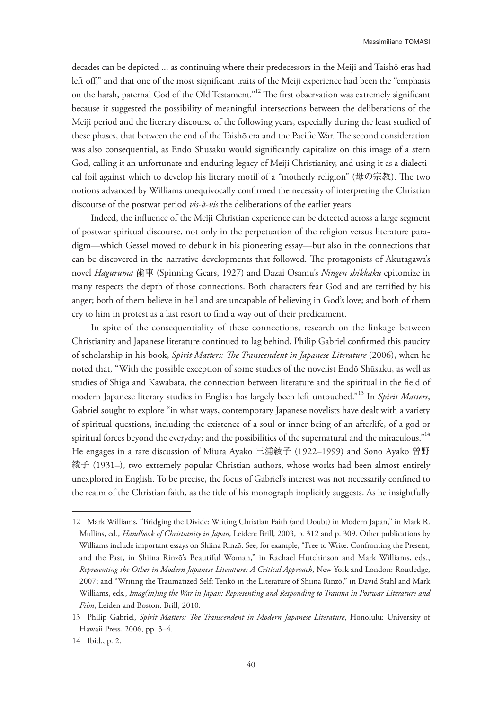decades can be depicted ... as continuing where their predecessors in the Meiji and Taishō eras had left off," and that one of the most significant traits of the Meiji experience had been the "emphasis on the harsh, paternal God of the Old Testament."<sup>12</sup> The first observation was extremely significant because it suggested the possibility of meaningful intersections between the deliberations of the Meiji period and the literary discourse of the following years, especially during the least studied of these phases, that between the end of the Taishō era and the Pacific War. The second consideration was also consequential, as Endō Shūsaku would signifcantly capitalize on this image of a stern God, calling it an unfortunate and enduring legacy of Meiji Christianity, and using it as a dialectical foil against which to develop his literary motif of a "motherly religion" (母の宗教). The two notions advanced by Williams unequivocally confrmed the necessity of interpreting the Christian discourse of the postwar period *vis-à-vis* the deliberations of the earlier years.

Indeed, the infuence of the Meiji Christian experience can be detected across a large segment of postwar spiritual discourse, not only in the perpetuation of the religion versus literature paradigm—which Gessel moved to debunk in his pioneering essay—but also in the connections that can be discovered in the narrative developments that followed. The protagonists of Akutagawa's novel *Haguruma* 歯車 (Spinning Gears, 1927) and Dazai Osamu's *Ningen shikkaku* epitomize in many respects the depth of those connections. Both characters fear God and are terrifed by his anger; both of them believe in hell and are uncapable of believing in God's love; and both of them cry to him in protest as a last resort to fnd a way out of their predicament.

In spite of the consequentiality of these connections, research on the linkage between Christianity and Japanese literature continued to lag behind. Philip Gabriel confrmed this paucity of scholarship in his book, *Spirit Matters: The Transcendent in Japanese Literature* (2006), when he noted that, "With the possible exception of some studies of the novelist Endō Shūsaku, as well as studies of Shiga and Kawabata, the connection between literature and the spiritual in the feld of modern Japanese literary studies in English has largely been left untouched."13 In *Spirit Matters*, Gabriel sought to explore "in what ways, contemporary Japanese novelists have dealt with a variety of spiritual questions, including the existence of a soul or inner being of an afterlife, of a god or spiritual forces beyond the everyday; and the possibilities of the supernatural and the miraculous."<sup>14</sup> He engages in a rare discussion of Miura Ayako 三浦綾子 (1922–1999) and Sono Ayako 曽野 綾子 (1931–), two extremely popular Christian authors, whose works had been almost entirely unexplored in English. To be precise, the focus of Gabriel's interest was not necessarily confned to the realm of the Christian faith, as the title of his monograph implicitly suggests. As he insightfully

<sup>12</sup> Mark Williams, "Bridging the Divide: Writing Christian Faith (and Doubt) in Modern Japan," in Mark R. Mullins, ed., *Handbook of Christianity in Japan*, Leiden: Brill, 2003, p. 312 and p. 309. Other publications by Williams include important essays on Shiina Rinzō. See, for example, "Free to Write: Confronting the Present, and the Past, in Shiina Rinzō's Beautiful Woman," in Rachael Hutchinson and Mark Williams, eds., *Representing the Other in Modern Japanese Literature: A Critical Approach*, New York and London: Routledge, 2007; and "Writing the Traumatized Self: Tenkō in the Literature of Shiina Rinzō," in David Stahl and Mark Williams, eds., *Imag(in)ing the War in Japan: Representing and Responding to Trauma in Postwar Literature and Film*, Leiden and Boston: Brill, 2010.

<sup>13</sup> Philip Gabriel, *Spirit Matters: Te Transcendent in Modern Japanese Literature*, Honolulu: University of Hawaii Press, 2006, pp. 3–4.

<sup>14</sup> Ibid., p. 2.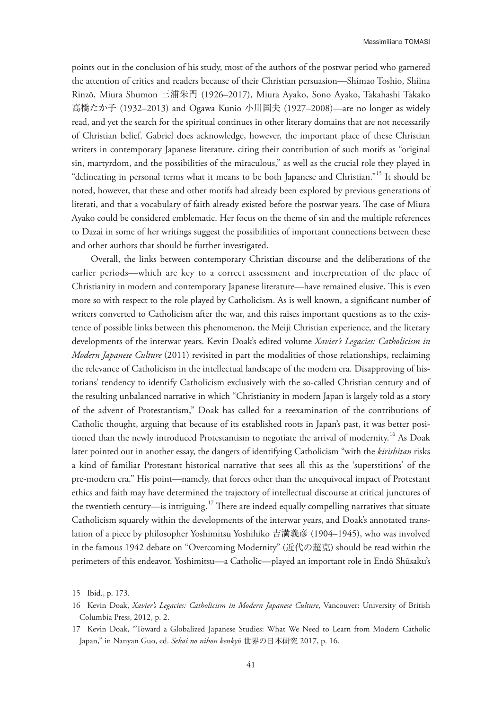points out in the conclusion of his study, most of the authors of the postwar period who garnered the attention of critics and readers because of their Christian persuasion—Shimao Toshio, Shiina Rinzō, Miura Shumon 三浦朱門 (1926–2017), Miura Ayako, Sono Ayako, Takahashi Takako 高橋たか子 (1932–2013) and Ogawa Kunio 小川国夫 (1927–2008)—are no longer as widely read, and yet the search for the spiritual continues in other literary domains that are not necessarily of Christian belief. Gabriel does acknowledge, however, the important place of these Christian writers in contemporary Japanese literature, citing their contribution of such motifs as "original sin, martyrdom, and the possibilities of the miraculous," as well as the crucial role they played in "delineating in personal terms what it means to be both Japanese and Christian."15 It should be noted, however, that these and other motifs had already been explored by previous generations of literati, and that a vocabulary of faith already existed before the postwar years. The case of Miura Ayako could be considered emblematic. Her focus on the theme of sin and the multiple references to Dazai in some of her writings suggest the possibilities of important connections between these and other authors that should be further investigated.

Overall, the links between contemporary Christian discourse and the deliberations of the earlier periods—which are key to a correct assessment and interpretation of the place of Christianity in modern and contemporary Japanese literature—have remained elusive. This is even more so with respect to the role played by Catholicism. As is well known, a signifcant number of writers converted to Catholicism after the war, and this raises important questions as to the existence of possible links between this phenomenon, the Meiji Christian experience, and the literary developments of the interwar years. Kevin Doak's edited volume *Xavier's Legacies: Catholicism in Modern Japanese Culture* (2011) revisited in part the modalities of those relationships, reclaiming the relevance of Catholicism in the intellectual landscape of the modern era. Disapproving of historians' tendency to identify Catholicism exclusively with the so-called Christian century and of the resulting unbalanced narrative in which "Christianity in modern Japan is largely told as a story of the advent of Protestantism," Doak has called for a reexamination of the contributions of Catholic thought, arguing that because of its established roots in Japan's past, it was better positioned than the newly introduced Protestantism to negotiate the arrival of modernity.<sup>16</sup> As Doak later pointed out in another essay, the dangers of identifying Catholicism "with the *kirishitan* risks a kind of familiar Protestant historical narrative that sees all this as the 'superstitions' of the pre-modern era." His point—namely, that forces other than the unequivocal impact of Protestant ethics and faith may have determined the trajectory of intellectual discourse at critical junctures of the twentieth century—is intriguing.<sup>17</sup> There are indeed equally compelling narratives that situate Catholicism squarely within the developments of the interwar years, and Doak's annotated translation of a piece by philosopher Yoshimitsu Yoshihiko 吉満義彦 (1904–1945), who was involved in the famous 1942 debate on "Overcoming Modernity" (近代の超克) should be read within the perimeters of this endeavor. Yoshimitsu—a Catholic—played an important role in Endō Shūsaku's

<sup>15</sup> Ibid., p. 173.

<sup>16</sup> Kevin Doak, *Xavier's Legacies: Catholicism in Modern Japanese Culture*, Vancouver: University of British Columbia Press, 2012, p. 2.

<sup>17</sup> Kevin Doak, "Toward a Globalized Japanese Studies: What We Need to Learn from Modern Catholic Japan," in Nanyan Guo, ed. *Sekai no nihon kenkyū* 世界の日本研究 2017, p. 16.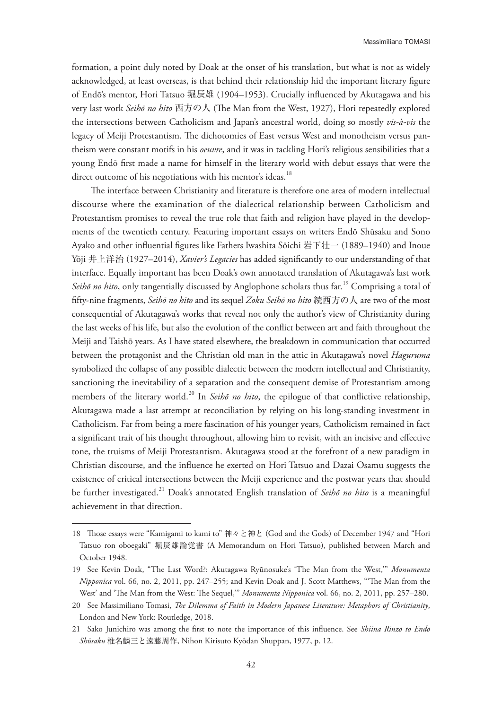formation, a point duly noted by Doak at the onset of his translation, but what is not as widely acknowledged, at least overseas, is that behind their relationship hid the important literary fgure of Endō's mentor, Hori Tatsuo 堀辰雄 (1904–1953). Crucially infuenced by Akutagawa and his very last work *Seihō no hito* 西方の人 (The Man from the West, 1927), Hori repeatedly explored the intersections between Catholicism and Japan's ancestral world, doing so mostly *vis-à-vis* the legacy of Meiji Protestantism. The dichotomies of East versus West and monotheism versus pantheism were constant motifs in his *oeuvre*, and it was in tackling Hori's religious sensibilities that a young Endō frst made a name for himself in the literary world with debut essays that were the direct outcome of his negotiations with his mentor's ideas.<sup>18</sup>

The interface between Christianity and literature is therefore one area of modern intellectual discourse where the examination of the dialectical relationship between Catholicism and Protestantism promises to reveal the true role that faith and religion have played in the developments of the twentieth century. Featuring important essays on writers Endō Shūsaku and Sono Ayako and other infuential fgures like Fathers Iwashita Sōichi 岩下壮一 (1889–1940) and Inoue Yōji 井上洋治 (1927–2014), *Xavier's Legacies* has added signifcantly to our understanding of that interface. Equally important has been Doak's own annotated translation of Akutagawa's last work Seihō no hito, only tangentially discussed by Anglophone scholars thus far.<sup>19</sup> Comprising a total of ffty-nine fragments, *Seihō no hito* and its sequel *Zoku Seihō no hito* 続西方の人 are two of the most consequential of Akutagawa's works that reveal not only the author's view of Christianity during the last weeks of his life, but also the evolution of the confict between art and faith throughout the Meiji and Taishō years. As I have stated elsewhere, the breakdown in communication that occurred between the protagonist and the Christian old man in the attic in Akutagawa's novel *Haguruma* symbolized the collapse of any possible dialectic between the modern intellectual and Christianity, sanctioning the inevitability of a separation and the consequent demise of Protestantism among members of the literary world.<sup>20</sup> In *Seihō no hito*, the epilogue of that conflictive relationship, Akutagawa made a last attempt at reconciliation by relying on his long-standing investment in Catholicism. Far from being a mere fascination of his younger years, Catholicism remained in fact a signifcant trait of his thought throughout, allowing him to revisit, with an incisive and efective tone, the truisms of Meiji Protestantism. Akutagawa stood at the forefront of a new paradigm in Christian discourse, and the infuence he exerted on Hori Tatsuo and Dazai Osamu suggests the existence of critical intersections between the Meiji experience and the postwar years that should be further investigated.21 Doak's annotated English translation of *Seihō no hito* is a meaningful achievement in that direction.

<sup>18</sup> Tose essays were "Kamigami to kami to" 神々と神と (God and the Gods) of December 1947 and "Hori Tatsuo ron oboegaki" 堀辰雄論覚書 (A Memorandum on Hori Tatsuo), published between March and October 1948.

<sup>19</sup> See Kevin Doak, "The Last Word?: Akutagawa Ryūnosuke's 'The Man from the West,'" *Monumenta Nipponica* vol. 66, no. 2, 2011, pp. 247–255; and Kevin Doak and J. Scott Matthews, "'Te Man from the West' and 'The Man from the West: The Sequel," *Monumenta Nipponica* vol. 66, no. 2, 2011, pp. 257-280.

<sup>20</sup> See Massimiliano Tomasi, *Te Dilemma of Faith in Modern Japanese Literature: Metaphors of Christianity*, London and New York: Routledge, 2018.

<sup>21</sup> Sako Junichirō was among the frst to note the importance of this infuence. See *Shiina Rinzō to Endō Shūsaku* 椎名麟三と遠藤周作, Nihon Kirisuto Kyōdan Shuppan, 1977, p. 12.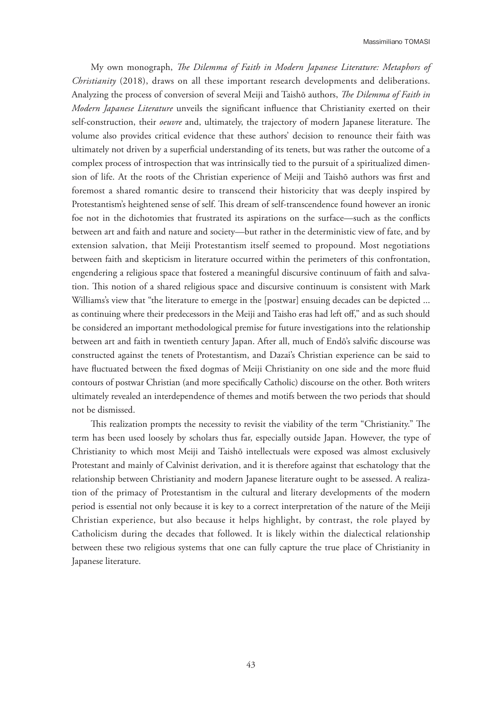My own monograph, *The Dilemma of Faith in Modern Japanese Literature: Metaphors of Christianity* (2018), draws on all these important research developments and deliberations. Analyzing the process of conversion of several Meiji and Taishō authors, *The Dilemma of Faith in Modern Japanese Literature* unveils the signifcant infuence that Christianity exerted on their self-construction, their *oeuvre* and, ultimately, the trajectory of modern Japanese literature. The volume also provides critical evidence that these authors' decision to renounce their faith was ultimately not driven by a superfcial understanding of its tenets, but was rather the outcome of a complex process of introspection that was intrinsically tied to the pursuit of a spiritualized dimension of life. At the roots of the Christian experience of Meiji and Taishō authors was frst and foremost a shared romantic desire to transcend their historicity that was deeply inspired by Protestantism's heightened sense of self. This dream of self-transcendence found however an ironic foe not in the dichotomies that frustrated its aspirations on the surface—such as the conficts between art and faith and nature and society—but rather in the deterministic view of fate, and by extension salvation, that Meiji Protestantism itself seemed to propound. Most negotiations between faith and skepticism in literature occurred within the perimeters of this confrontation, engendering a religious space that fostered a meaningful discursive continuum of faith and salvation. This notion of a shared religious space and discursive continuum is consistent with Mark Williams's view that "the literature to emerge in the [postwar] ensuing decades can be depicted ... as continuing where their predecessors in the Meiji and Taisho eras had left off," and as such should be considered an important methodological premise for future investigations into the relationship between art and faith in twentieth century Japan. After all, much of Endō's salvifc discourse was constructed against the tenets of Protestantism, and Dazai's Christian experience can be said to have fuctuated between the fxed dogmas of Meiji Christianity on one side and the more fuid contours of postwar Christian (and more specifcally Catholic) discourse on the other. Both writers ultimately revealed an interdependence of themes and motifs between the two periods that should not be dismissed.

This realization prompts the necessity to revisit the viability of the term "Christianity." The term has been used loosely by scholars thus far, especially outside Japan. However, the type of Christianity to which most Meiji and Taishō intellectuals were exposed was almost exclusively Protestant and mainly of Calvinist derivation, and it is therefore against that eschatology that the relationship between Christianity and modern Japanese literature ought to be assessed. A realization of the primacy of Protestantism in the cultural and literary developments of the modern period is essential not only because it is key to a correct interpretation of the nature of the Meiji Christian experience, but also because it helps highlight, by contrast, the role played by Catholicism during the decades that followed. It is likely within the dialectical relationship between these two religious systems that one can fully capture the true place of Christianity in Japanese literature.